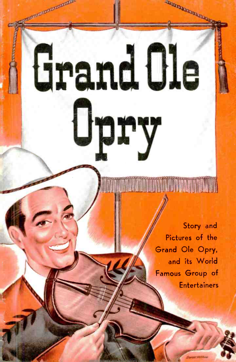**A Story and** Pictures of the Grand Ole Opry, and its World Famous Group of **Entertainers** 

**ROOMBOOK** 

Grand Cle

manonomento

Upry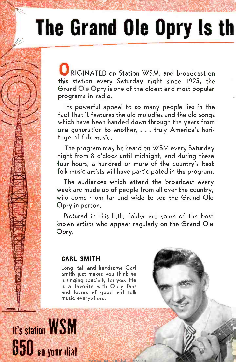# The Grand Ole Opry Is th

RIGINATED on Station WSM, and broadcast on this station every Saturday night since 1925, the Grand Ole Opry is one of the oldest and most popular programs in radio.

Its powerful appeal to so many people lies in the fact that it features the old melodies and the old songs which have been handed down through the years from one generation to another, ... truly America's heritage of folk music.

The program may be heard on WSM every Saturday night from 8 o'clock until midnight, and during these four hours, a hundred or more of the country's best folk music artists will have participated in the program.

The audiences which attend the broadcast every week are made up of people from all over the country, who come from far and wide to see the Grand Ole Opry in person.

Pictured in this little folder are some of the best known artists who appear regularly on the Grand Ole Opry.

#### CARL SMITH

Long, tall and handsome Carl Smith just makes you think he is singing specially for you. He is a favorite with Opry fans and lovers of good old folk music everywhere.

**It's station WSM** 650 on your dial

.i

<www.americanradiohistory.com>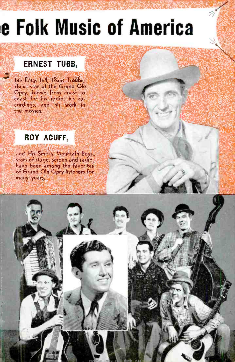# **e Folk Music of America**

## **ERNEST TUBB,**

the Tobos tall, Texas Troubadour, star of the Grand Ole Opry, known from coast to coast for his radio, his rothe movies.

## ROY ACUFF,

and His Smoky Mountain Boys, stars of stage, screen and radio, have been among the favorites of Grand Ole Opry listeners for many years,

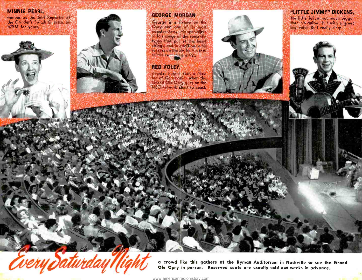#### **MINNIE PEARL,**

famous as the Girl Reporter of the Grinder's Switch Gazette, on WSM for years.





#### **GEORGE MORGAN**

George is a fixture on the in folk songs of the romantic types that pull at the hourt.<br>strings, and in addition to bit, success on the life, he is a top-

#### **RED FOLEY**

pepular singing star, is Mass<br>ter of Coremonies when the<br>Crand Old Op (rigger on the<br>NBC network chan to coast



#### "LITTLE JIMMY" DICKENS.

the little fellow not much bigger<br>sthan his guitar, but with a great<br>libig voice that really sings.



a crowd like this gathers at the Ryman Auditorium in Nashville to see the Grand Ole Opry in person. Reserved seats are usually sold out weeks in advance.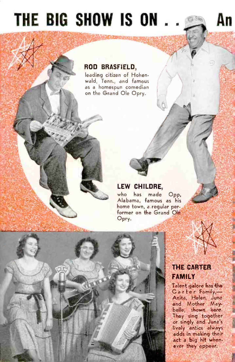## THE BIG SHOW IS ON... An

### ROD BRASFIELD,

leading citizen of Hohenwald, Tenn., and famous as a homespun comedian on the Grand Ole Opry.

## LEW CHILDRE,

who has made Opp, Alabama, famous as his home town, a regular performer on the Grand Ole Opry.



#### <www.americanradiohistory.com>

### THE CARTER FAMILY

Talent galore has the<br>Carter Family, -Anita, Helen, June and Mother Maybelle, shown here. They sing together or singly and June's lively antics always adds in making their act a big hit whenever they appear.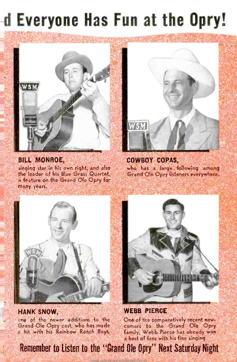## -d Everyone Has Fun at the Opry!



**BILL MONROE,** singing star in his own right, and also the leader of his Blue Grass Quartet, a feature on the Grand Ole Opry for many years.



**COWBOY COPAS,** who has a large following among Grand Ole Opry listeners everywhere.



**HANK SNOW,** one of the newer additions to the Grand Ole Opry cast, who has made a hit with his Rainbow Ranch Boys.



**WEBB PIERCE** One of the comparatively recent newcomers to the Grand Ole Opry family, Webb Pierce has already won a host of fans with his fine singing

Remember to Listen to the "Grand Ole Opry" Next Saturday Night